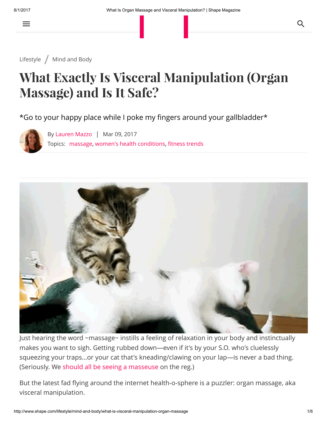$\equiv$ 

[Lifestyle](http://www.shape.com/lifestyle) / [Mind](http://www.shape.com/lifestyle/mind-and-body) and Body

## What Exactly Is Visceral Manipulation (Organ Massage) and Is It Safe?

\*Go to your happy place while I poke my fingers around your gallbladder\*





Just hearing the word ~massage~ instills a feeling of relaxation in your body and instinctually makes you want to sigh. Getting rubbed down—even if it's by your S.O. who's cluelessly squeezing your traps...or your cat that's kneading/clawing on your lap—is never a bad thing. (Seriously. We should all be seeing a [masseuse](http://www.shape.com/lifestyle/mind-and-body/mind-body-benefits-getting-massage) on the reg.)

But the latest fad flying around the internet health-o-sphere is a puzzler: organ massage, aka visceral manipulation.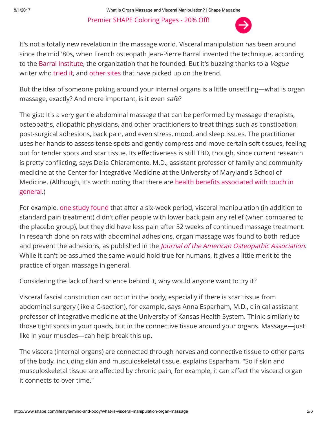Premier SHAPE [Coloring](https://www.poshcoloringstudio.com/artists/shape?utm_source=shape&utm_medium=internal&utm_campaign=mn_b705kr6b055bo) Pages - 20% Off!



It's not a totally new revelation in the massage world. Visceral manipulation has been around since the mid '80s, when French osteopath Jean-Pierre Barral invented the technique, according to the Barral [Institute,](http://www.barralinstitute.com/) the organization that he founded. But it's buzzing thanks to a Vogue writer who [tried](http://www.vogue.com/article/visceral-manipulation-organ-massage-sky-ting-ramesh-narine-sleep-nervous-system?mbid=social_twitter) it, and [other](http://hellogiggles.com/organ-massage-wellness/) sites that have picked up on the trend.

But the idea of someone poking around your internal organs is a little unsettling—what is organ massage, exactly? And more important, is it even safe?

The gist: It's a very gentle abdominal massage that can be performed by massage therapists, osteopaths, allopathic physicians, and other practitioners to treat things such as constipation, post-surgical adhesions, back pain, and even stress, mood, and sleep issues. The practitioner uses her hands to assess tense spots and gently compress and move certain soft tissues, feeling out for tender spots and scar tissue. Its effectiveness is still TBD, though, since current research is pretty conflicting, says Delia Chiaramonte, M.D., assistant professor of family and community medicine at the Center for Integrative Medicine at the University of Maryland's School of Medicine. (Although, it's worth noting that there are health benefits [associated](http://www.shape.com/lifestyle/sex-and-love/5-health-reasons-make-time-cuddling) with touch in general.)

For example, one study [found](https://www.ncbi.nlm.nih.gov/pubmed/25378096) that after a six-week period, visceral manipulation (in addition to standard pain treatment) didn't offer people with lower back pain any relief (when compared to the placebo group), but they did have less pain after 52 weeks of continued massage treatment. In research done on rats with abdominal adhesions, organ massage was found to both reduce and prevent the adhesions, as published in the *Journal of the American [Osteopathic](http://jaoa.org/article.aspx?articleid=2094553) Association*. While it can't be assumed the same would hold true for humans, it gives a little merit to the practice of organ massage in general.

Considering the lack of hard science behind it, why would anyone want to try it?

Visceral fascial constriction can occur in the body, especially if there is scar tissue from abdominal surgery (like a C-section), for example, says Anna Esparham, M.D., clinical assistant professor of integrative medicine at the University of Kansas Health System. Think: similarly to those tight spots in your quads, but in the connective tissue around your organs. Massage—just like in your muscles—can help break this up.

The viscera (internal organs) are connected through nerves and connective tissue to other parts of the body, including skin and musculoskeletal tissue, explains Esparham. "So if skin and musculoskeletal tissue are affected by chronic pain, for example, it can affect the visceral organ it connects to over time."